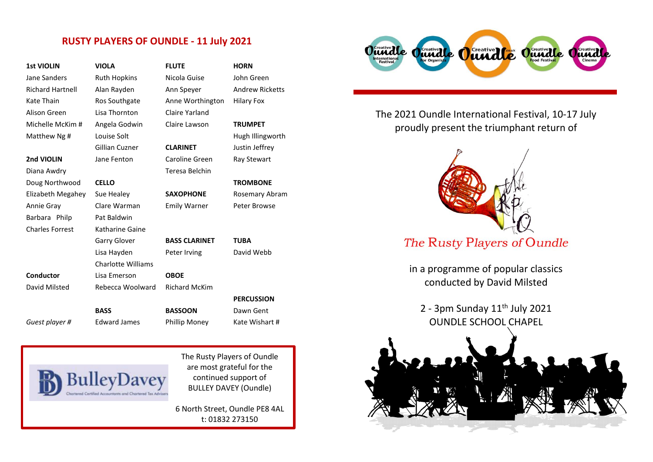## **RUSTY PLAYERS OF OUNDLE - 11 July 2021**

| <b>1st VIOLIN</b>       | <b>VIOLA</b>              | <b>FLUTE</b>         | <b>HORN</b>            |
|-------------------------|---------------------------|----------------------|------------------------|
| Jane Sanders            | <b>Ruth Hopkins</b>       | Nicola Guise         | John Green             |
| <b>Richard Hartnell</b> | Alan Rayden               | Ann Speyer           | <b>Andrew Ricketts</b> |
| Kate Thain              | Ros Southgate             | Anne Worthington     | <b>Hilary Fox</b>      |
| Alison Green            | Lisa Thornton             | Claire Yarland       |                        |
| Michelle McKim #        | Angela Godwin             | Claire Lawson        | <b>TRUMPET</b>         |
| Matthew Ng #            | Louise Solt               |                      | Hugh Illingworth       |
|                         | <b>Gillian Cuzner</b>     | <b>CLARINET</b>      | Justin Jeffrey         |
| 2nd VIOLIN              | Jane Fenton               | Caroline Green       | Ray Stewart            |
| Diana Awdry             |                           | Teresa Belchin       |                        |
| Doug Northwood          | <b>CELLO</b>              |                      | <b>TROMBONE</b>        |
| Elizabeth Megahey       | Sue Healey                | <b>SAXOPHONE</b>     | <b>Rosemary Abram</b>  |
| Annie Gray              | Clare Warman              | <b>Emily Warner</b>  | Peter Browse           |
| Barbara Philp           | Pat Baldwin               |                      |                        |
| <b>Charles Forrest</b>  | Katharine Gaine           |                      |                        |
|                         | <b>Garry Glover</b>       | <b>BASS CLARINET</b> | <b>TUBA</b>            |
|                         | Lisa Hayden               | Peter Irving         | David Webb             |
|                         | <b>Charlotte Williams</b> |                      |                        |
| Conductor               | Lisa Emerson              | <b>OBOE</b>          |                        |
| David Milsted           | Rebecca Woolward          | <b>Richard McKim</b> |                        |
|                         |                           |                      | <b>PERCUSSION</b>      |
|                         | <b>BASS</b>               | <b>BASSOON</b>       | Dawn Gent              |
| Guest player #          | <b>Edward James</b>       | <b>Phillip Money</b> | Kate Wishart #         |

|       | John Green          |  |
|-------|---------------------|--|
|       | <b>Andrew Ricke</b> |  |
| າgton | Hilary Fox          |  |
| I     |                     |  |
|       | <b>TRUMPET</b>      |  |
|       | Hugh Illingwo       |  |
|       | Justin Jeffrey      |  |
| 'n    | <b>Ray Stewart</b>  |  |
| h     |                     |  |
|       | <b>TROMBONE</b>     |  |
|       | Rosemary Abr        |  |
|       | Peter Browse        |  |
|       |                     |  |
|       |                     |  |
| EΤ    | <b>TUBA</b>         |  |
|       | David Webb          |  |
|       |                     |  |
|       |                     |  |
| η     |                     |  |
|       | <b>PERCUSSION</b>   |  |
|       | Dawn Gent           |  |
|       | Kate Wishart        |  |



The Rusty Players of Oundle are most grateful for the continued support of BULLEY DAVEY (Oundle)

6 North Street, Oundle PE8 4AL t: 01832 273150 [www.bulleydavey.co.uk](http://www.bulleydavey.co.uk/)



The 2021 Oundle International Festival, 10-17 July proudly present the triumphant return of



in a programme of popular classics conducted by David Milsted

2 - 3pm Sunday  $11<sup>th</sup>$  July 2021 OUNDLE SCHOOL CHAPEL